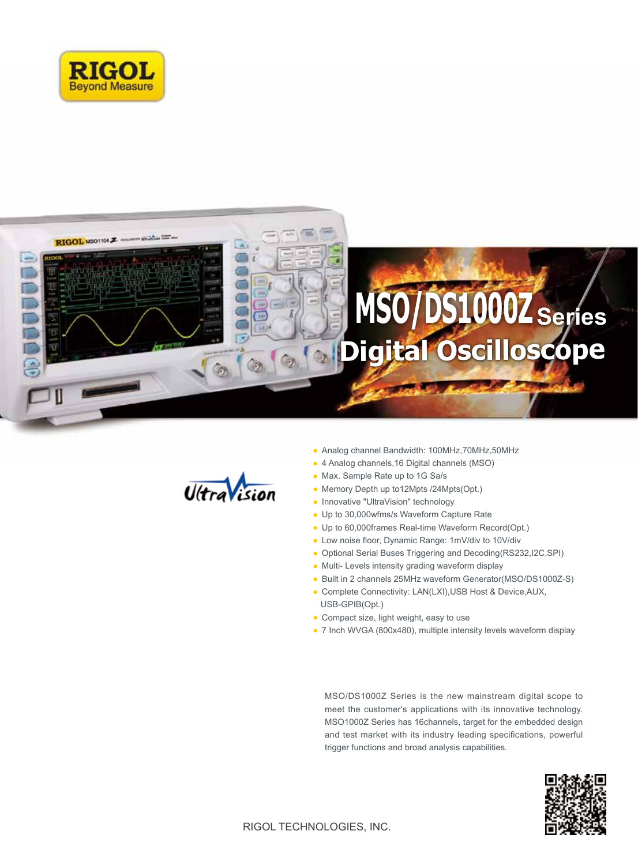





- Analog channel Bandwidth: 100MHz,70MHz,50MHz
- 4 Analog channels,16 Digital channels (MSO)
- Max. Sample Rate up to 1G Sa/s
- Memory Depth up to12Mpts /24Mpts(Opt.)
- Innovative "UltraVision" technology
- Up to 30,000wfms/s Waveform Capture Rate
- Up to 60,000frames Real-time Waveform Record(Opt.)
- Low noise floor, Dynamic Range: 1mV/div to 10V/div
- Optional Serial Buses Triggering and Decoding(RS232,I2C,SPI)
- Multi- Levels intensity grading waveform display
- Built in 2 channels 25MHz waveform Generator(MSO/DS1000Z-S)
- Complete Connectivity: LAN(LXI),USB Host & Device,AUX, USB-GPIB(Opt.)
- Compact size, light weight, easy to use
- 7 Inch WVGA (800x480), multiple intensity levels waveform display

MSO/DS1000Z Series is the new mainstream digital scope to meet the customer's applications with its innovative technology. MSO1000Z Series has 16channels, target for the embedded design and test market with its industry leading specifications, powerful trigger functions and broad analysis capabilities.

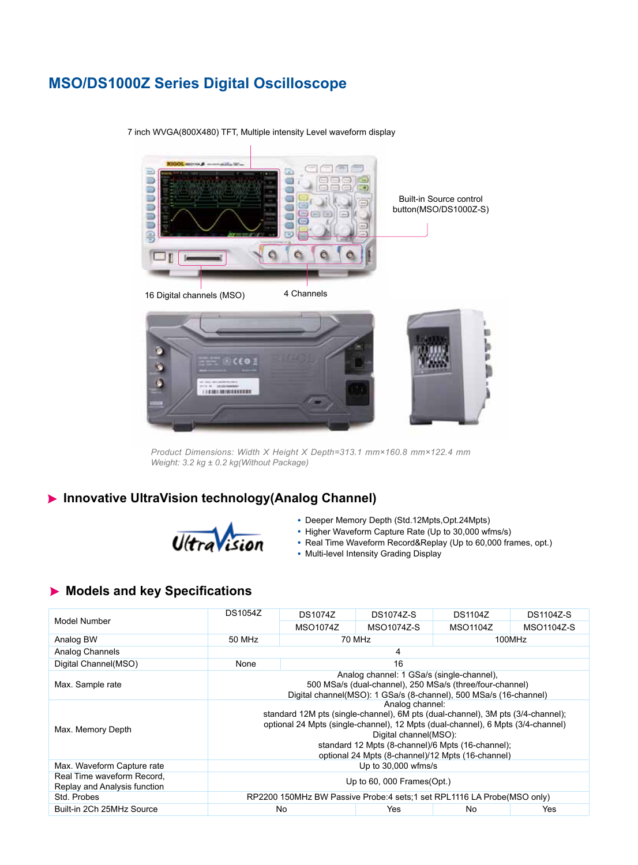# **MSO/DS1000Z Series Digital Oscilloscope**



7 inch WVGA(800X480) TFT, Multiple intensity Level waveform display

*Product Dimensions: Width X Height X Depth=313.1 mm×160.8 mm×122.4 mm Weight: 3.2 kg ± 0.2 kg(Without Package)*

# **Innovative UltraVision technology(Analog Channel)**



- Deeper Memory Depth (Std.12Mpts,Opt.24Mpts)
- Higher Waveform Capture Rate (Up to 30,000 wfms/s)
- Real Time Waveform Record&Replay (Up to 60,000 frames, opt.)
- Multi-level Intensity Grading Display

# **Models and key Specifications**

|                                                            | <b>DS1054Z</b>                                                                                                                                                                                                                                                                                                           | <b>DS1074Z</b>   | <b>DS1074Z-S</b> | <b>DS1104Z</b> | <b>DS1104Z-S</b> |  |
|------------------------------------------------------------|--------------------------------------------------------------------------------------------------------------------------------------------------------------------------------------------------------------------------------------------------------------------------------------------------------------------------|------------------|------------------|----------------|------------------|--|
| Model Number                                               |                                                                                                                                                                                                                                                                                                                          | MSO1074Z         | MSO1074Z-S       | MSO1104Z       | MSO1104Z-S       |  |
| Analog BW                                                  | 50 MHz                                                                                                                                                                                                                                                                                                                   | 70 MHz<br>100MHz |                  |                |                  |  |
| Analog Channels                                            | 4                                                                                                                                                                                                                                                                                                                        |                  |                  |                |                  |  |
| Digital Channel(MSO)                                       | None                                                                                                                                                                                                                                                                                                                     | 16               |                  |                |                  |  |
| Max. Sample rate                                           | Analog channel: 1 GSa/s (single-channel),<br>500 MSa/s (dual-channel), 250 MSa/s (three/four-channel)<br>Digital channel(MSO): 1 GSa/s (8-channel), 500 MSa/s (16-channel)                                                                                                                                               |                  |                  |                |                  |  |
| Max. Memory Depth                                          | Analog channel:<br>standard 12M pts (single-channel), 6M pts (dual-channel), 3M pts (3/4-channel);<br>optional 24 Mpts (single-channel), 12 Mpts (dual-channel), 6 Mpts (3/4-channel)<br>Digital channel(MSO):<br>standard 12 Mpts (8-channel)/6 Mpts (16-channel);<br>optional 24 Mpts (8-channel)/12 Mpts (16-channel) |                  |                  |                |                  |  |
| Max. Waveform Capture rate                                 | Up to 30,000 wfms/s                                                                                                                                                                                                                                                                                                      |                  |                  |                |                  |  |
| Real Time waveform Record,<br>Replay and Analysis function | Up to $60,000$ Frames (Opt.)                                                                                                                                                                                                                                                                                             |                  |                  |                |                  |  |
| Std. Probes                                                | RP2200 150MHz BW Passive Probe:4 sets:1 set RPL1116 LA Probe(MSO only)                                                                                                                                                                                                                                                   |                  |                  |                |                  |  |
| Built-in 2Ch 25MHz Source                                  | No<br>Yes<br>No.<br>Yes                                                                                                                                                                                                                                                                                                  |                  |                  |                |                  |  |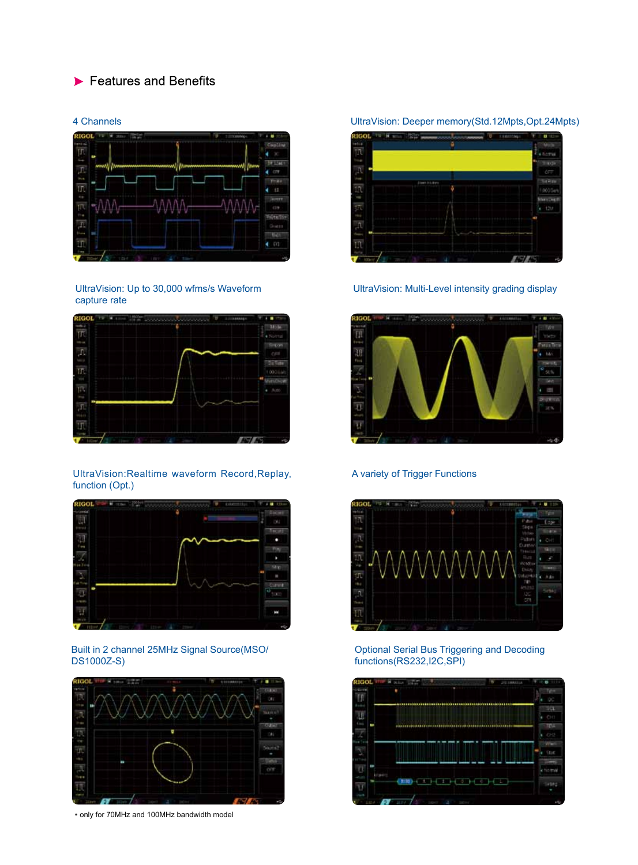# $\blacktriangleright$  Features and Benefits

# **TEFTAS**  $4.07$  $T<sub>1</sub>$ €. **Site** 762  $4.00$

UltraVision: Up to 30,000 wfms/s Waveform capture rate



### UltraVision:Realtime waveform Record,Replay, function (Opt.)



## Built in 2 channel 25MHz Signal Source(MSO/ DS1000Z-S)



\* only for 70MHz and 100MHz bandwidth model

### 4 Channels UltraVision: Deeper memory(Std.12Mpts,Opt.24Mpts)



UltraVision: Multi-Level intensity grading display



## A variety of Trigger Functions



#### Optional Serial Bus Triggering and Decoding functions(RS232,I2C,SPI)

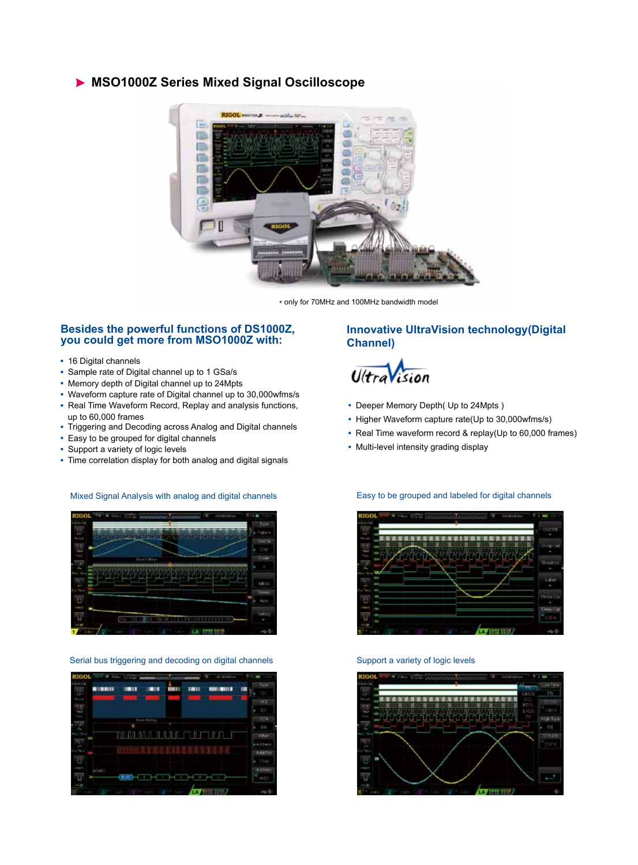## **MSO1000Z Series Mixed Signal Oscilloscope**



\* only for 70MHz and 100MHz bandwidth model

## **Besides the powerful functions of DS1000Z, you could get more from MSO1000Z with:**

- 16 Digital channels
- Sample rate of Digital channel up to 1 GSa/s
- Memory depth of Digital channel up to 24Mpts
- Waveform capture rate of Digital channel up to 30,000wfms/s
- Real Time Waveform Record, Replay and analysis functions, up to 60,000 frames
- Triggering and Decoding across Analog and Digital channels
- Easy to be grouped for digital channels
- Support a variety of logic levels
- Time correlation display for both analog and digital signals

## Mixed Signal Analysis with analog and digital channels



Serial bus triggering and decoding on digital channels Support a variety of logic levels

| <b>RIGOL</b>  | <b>Harry House</b>  |                                    |   | all stress for  |            |
|---------------|---------------------|------------------------------------|---|-----------------|------------|
| <b>B</b> HILL | <b>IMIT</b>         | åш<br>шн                           | m | <b>BUILDING</b> | m          |
|               |                     |                                    |   |                 | w          |
|               |                     |                                    |   |                 |            |
|               |                     | <b>ATTENDE</b>                     |   |                 |            |
|               |                     |                                    |   |                 |            |
|               |                     | <b>TERLAR PLANA IT LIGHT LIGHT</b> |   |                 | <b>IAV</b> |
|               |                     |                                    |   |                 | 14,554     |
|               |                     |                                    |   |                 | 449        |
|               |                     |                                    |   |                 | T544       |
|               |                     |                                    |   |                 |            |
|               |                     |                                    |   |                 | v          |
|               | <b>The Contract</b> |                                    |   |                 |            |

## **Innovative UltraVision technology(Digital Channel)**



- Deeper Memory Depth( Up to 24Mpts )
- Higher Waveform capture rate(Up to 30,000wfms/s)

Easy to be grouped and labeled for digital channels

- Real Time waveform record & replay(Up to 60,000 frames)
- Multi-level intensity grading display



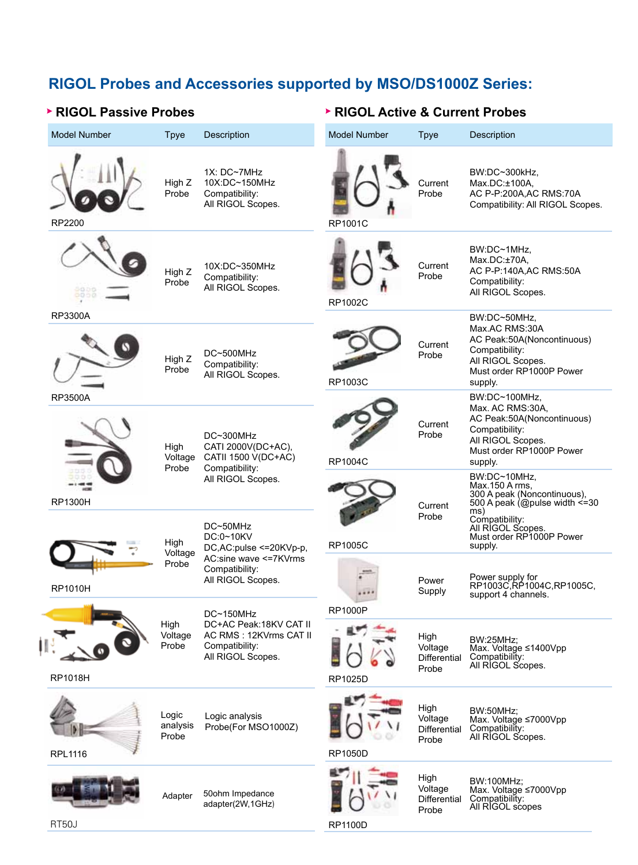# **RIGOL Probes and Accessories supported by MSO/DS1000Z Series:**

# **RIGOL Passive Probes RIGOL Active & Current Probes**

| <b>Model Number</b> | <b>Tpye</b>                | <b>Description</b>                                                                                    | <b>Model Number</b>       | <b>Tpye</b>                                     | <b>Description</b>                                                                                                                                                             |
|---------------------|----------------------------|-------------------------------------------------------------------------------------------------------|---------------------------|-------------------------------------------------|--------------------------------------------------------------------------------------------------------------------------------------------------------------------------------|
| RP2200              | High Z<br>Probe            | 1X: DC~7MHz<br>10X:DC~150MHz<br>Compatibility:<br>All RIGOL Scopes.                                   | RP1001C                   | Current<br>Probe                                | BW:DC~300kHz,<br>Max.DC:±100A.<br>AC P-P:200A, AC RMS: 70A<br>Compatibility: All RIGOL Scopes.                                                                                 |
|                     | High Z<br>Probe            | 10X:DC~350MHz<br>Compatibility:<br>All RIGOL Scopes.                                                  | RP1002C                   | Current<br>Probe                                | BW:DC~1MHz,<br>Max.DC:±70A,<br>AC P-P:140A, AC RMS: 50A<br>Compatibility:<br>All RIGOL Scopes.                                                                                 |
| <b>RP3300A</b>      | High Z<br>Probe            | DC~500MHz<br>Compatibility:<br>All RIGOL Scopes.                                                      | RP1003C                   | Current<br>Probe                                | BW:DC~50MHz,<br>Max.AC RMS:30A<br>AC Peak:50A(Noncontinuous)<br>Compatibility:<br>All RIGOL Scopes.<br>Must order RP1000P Power<br>supply.                                     |
| <b>RP3500A</b>      | High<br>Voltage<br>Probe   | DC~300MHz<br>CATI 2000V(DC+AC),<br>CATII 1500 V(DC+AC)<br>Compatibility:                              | <b>RP1004C</b>            | Current<br>Probe                                | BW:DC~100MHz,<br>Max. AC RMS:30A,<br>AC Peak:50A(Noncontinuous)<br>Compatibility:<br>All RIGOL Scopes.<br>Must order RP1000P Power<br>supply.                                  |
| <b>RP1300H</b>      |                            | All RIGOL Scopes.<br>DC~50MHz<br>DC:0~10KV                                                            |                           | Current<br>Probe                                | BW:DC~10MHz,<br>Max.150 A rms.<br>300 A peak (Noncontinuous),<br>500 A peak (@pulse width $\leq$ =30<br>ms)<br>Compatibility:<br>All RIGOL Scopes.<br>Must order RP1000P Power |
| <b>RP1010H</b>      | High<br>Voltage<br>Probe   | DC, AC: pulse <= 20KVp-p,<br>AC:sine wave <= 7KVrms<br>Compatibility:<br>All RIGOL Scopes.            | <b>RP1005C</b>            | Power<br>Supply                                 | supply.<br>Power supply for<br>RP1003C,RP1004C,RP1005C,<br>support 4 channels.                                                                                                 |
| <b>RP1018H</b>      | High<br>Voltage<br>Probe   | DC~150MHz<br>DC+AC Peak: 18KV CAT II<br>AC RMS: 12KVrms CAT II<br>Compatibility:<br>All RIGOL Scopes. | <b>RP1000P</b><br>RP1025D | High<br>Voltage<br><b>Differential</b><br>Probe | <b>BW:25MHz;</b><br>Max. Voltage ≤1400Vpp<br>Compatibility:<br>All RIGOL Scopes.                                                                                               |
| <b>RPL1116</b>      | Logic<br>analysis<br>Probe | Logic analysis<br>Probe(For MSO1000Z)                                                                 | <b>RP1050D</b>            | High<br>Voltage<br><b>Differential</b><br>Probe | <b>BW:50MHz;</b><br>Max. Voltage ≤7000Vpp<br>Compatibility:<br>All RIGOL Scopes.                                                                                               |
|                     | Adapter                    | 50ohm Impedance<br>adapter(2W,1GHz)                                                                   |                           | High<br>Voltage<br>Differential<br>Probe        | BW:100MHz;<br>Max. Voltage ≤7000Vpp<br>Compatibility:<br>All RIGOL scopes                                                                                                      |

RP1100D

RT50J

İ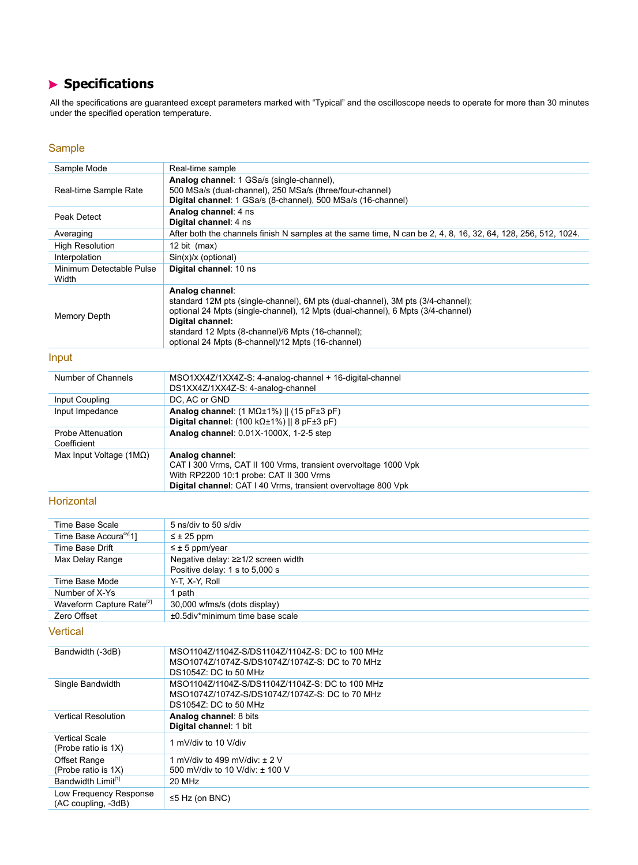# **Specifications**

All the specifications are guaranteed except parameters marked with "Typical" and the oscilloscope needs to operate for more than 30 minutes under the specified operation temperature.

## Sample

| Sample Mode                                   | Real-time sample                                                                                                                                                                                                                                                                                                    |
|-----------------------------------------------|---------------------------------------------------------------------------------------------------------------------------------------------------------------------------------------------------------------------------------------------------------------------------------------------------------------------|
|                                               | Analog channel: 1 GSa/s (single-channel),                                                                                                                                                                                                                                                                           |
| Real-time Sample Rate                         | 500 MSa/s (dual-channel), 250 MSa/s (three/four-channel)                                                                                                                                                                                                                                                            |
|                                               | Digital channel: 1 GSa/s (8-channel), 500 MSa/s (16-channel)                                                                                                                                                                                                                                                        |
| Peak Detect                                   | Analog channel: 4 ns<br>Digital channel: 4 ns                                                                                                                                                                                                                                                                       |
| Averaging                                     | After both the channels finish N samples at the same time, N can be 2, 4, 8, 16, 32, 64, 128, 256, 512, 1024.                                                                                                                                                                                                       |
| <b>High Resolution</b>                        | 12 bit $(max)$                                                                                                                                                                                                                                                                                                      |
| Interpolation                                 | Sin(x)/x (optional)                                                                                                                                                                                                                                                                                                 |
| Minimum Detectable Pulse<br>Width             | Digital channel: 10 ns                                                                                                                                                                                                                                                                                              |
| <b>Memory Depth</b>                           | Analog channel:<br>standard 12M pts (single-channel), 6M pts (dual-channel), 3M pts (3/4-channel);<br>optional 24 Mpts (single-channel), 12 Mpts (dual-channel), 6 Mpts (3/4-channel)<br>Digital channel:<br>standard 12 Mpts (8-channel)/6 Mpts (16-channel);<br>optional 24 Mpts (8-channel)/12 Mpts (16-channel) |
| Input                                         |                                                                                                                                                                                                                                                                                                                     |
| Number of Channels                            | MSO1XX4Z/1XX4Z-S: 4-analog-channel + 16-digital-channel<br>DS1XX4Z/1XX4Z-S: 4-analog-channel                                                                                                                                                                                                                        |
| Input Coupling                                | DC, AC or GND                                                                                                                                                                                                                                                                                                       |
| Input Impedance                               | Analog channel: $(1 M\Omega \pm 1\%)$    $(15 pF \pm 3 pF)$<br>Digital channel: $(100 k\Omega \pm 1\%)$   8 pF $\pm 3$ pF)                                                                                                                                                                                          |
| Probe Attenuation<br>Coefficient              | Analog channel: 0.01X-1000X, 1-2-5 step                                                                                                                                                                                                                                                                             |
| Max Input Voltage $(1M\Omega)$                | Analog channel:<br>CAT I 300 Vrms, CAT II 100 Vrms, transient overvoltage 1000 Vpk<br>With RP2200 10:1 probe: CAT II 300 Vrms<br>Digital channel: CAT I 40 Vrms, transient overvoltage 800 Vpk                                                                                                                      |
| Horizontal                                    |                                                                                                                                                                                                                                                                                                                     |
| <b>Time Base Scale</b>                        | 5 ns/div to 50 s/div                                                                                                                                                                                                                                                                                                |
| Time Base Accura <sup>cy[</sup> 1]            | $\leq \pm 25$ ppm                                                                                                                                                                                                                                                                                                   |
| <b>Time Base Drift</b>                        | $\leq \pm 5$ ppm/year                                                                                                                                                                                                                                                                                               |
| Max Delay Range                               | Negative delay: ≥≥1/2 screen width                                                                                                                                                                                                                                                                                  |
|                                               | Positive delay: 1 s to 5,000 s                                                                                                                                                                                                                                                                                      |
| Time Base Mode                                | Y-T, X-Y, Roll                                                                                                                                                                                                                                                                                                      |
| Number of X-Ys                                | 1 path                                                                                                                                                                                                                                                                                                              |
| Waveform Capture Rate <sup>[2]</sup>          | 30,000 wfms/s (dots display)                                                                                                                                                                                                                                                                                        |
| Zero Offset                                   | ±0.5div*minimum time base scale                                                                                                                                                                                                                                                                                     |
| Vertical                                      |                                                                                                                                                                                                                                                                                                                     |
| Bandwidth (-3dB)                              | MSO1104Z/1104Z-S/DS1104Z/1104Z-S: DC to 100 MHz<br>MSO1074Z/1074Z-S/DS1074Z/1074Z-S: DC to 70 MHz<br>DS1054Z: DC to 50 MHz                                                                                                                                                                                          |
| Single Bandwidth                              | MSO1104Z/1104Z-S/DS1104Z/1104Z-S: DC to 100 MHz<br>MSO1074Z/1074Z-S/DS1074Z/1074Z-S: DC to 70 MHz<br>DS1054Z: DC to 50 MHz                                                                                                                                                                                          |
| <b>Vertical Resolution</b>                    | Analog channel: 8 bits<br>Digital channel: 1 bit                                                                                                                                                                                                                                                                    |
| <b>Vertical Scale</b><br>(Probe ratio is 1X)  | 1 mV/div to 10 V/div                                                                                                                                                                                                                                                                                                |
| Offset Range<br>(Probe ratio is 1X)           | 1 mV/div to 499 mV/div: $\pm$ 2 V<br>500 mV/div to 10 V/div: ± 100 V                                                                                                                                                                                                                                                |
| Bandwidth Limit <sup>[1]</sup>                | 20 MHz                                                                                                                                                                                                                                                                                                              |
| Low Frequency Response<br>(AC coupling, -3dB) | $\leq$ 5 Hz (on BNC)                                                                                                                                                                                                                                                                                                |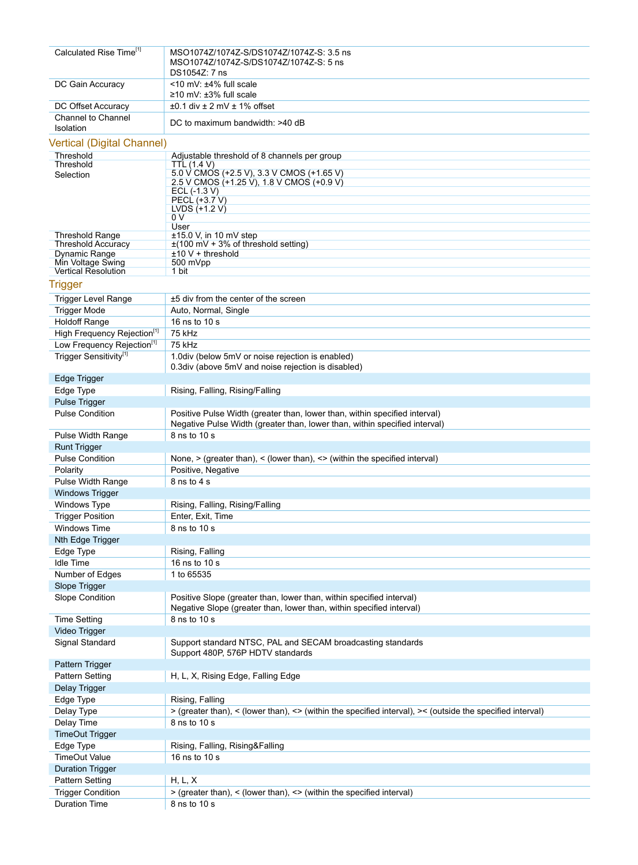| Calculated Rise Time <sup>[1]</sup>               | MSO1074Z/1074Z-S/DS1074Z/1074Z-S: 3.5 ns                                                                  |
|---------------------------------------------------|-----------------------------------------------------------------------------------------------------------|
|                                                   | MSO1074Z/1074Z-S/DS1074Z/1074Z-S: 5 ns                                                                    |
|                                                   | DS1054Z: 7 ns                                                                                             |
| DC Gain Accuracy                                  | $<$ 10 mV: $±4\%$ full scale<br>$\geq$ 10 mV: $\pm$ 3% full scale                                         |
| DC Offset Accuracy                                | $\pm 0.1$ div $\pm 2$ mV $\pm 1\%$ offset                                                                 |
| Channel to Channel                                |                                                                                                           |
| Isolation                                         | DC to maximum bandwidth: >40 dB                                                                           |
| <b>Vertical (Digital Channel)</b>                 |                                                                                                           |
| Threshold                                         |                                                                                                           |
| Threshold                                         | Adjustable threshold of 8 channels per group<br>TTL (1.4 V)                                               |
| Selection                                         | 5.0 V CMOS (+2.5 V), 3.3 V CMOS (+1.65 V)                                                                 |
|                                                   | 2.5 V CMOS (+1.25 V), 1.8 V CMOS (+0.9 V)<br>ECL $(-1.3 V)$                                               |
|                                                   | PECL (+3.7 V)                                                                                             |
|                                                   | LVDS $(+1.2 V)$                                                                                           |
|                                                   | 0 V<br>User                                                                                               |
| <b>Threshold Range</b>                            | $\pm$ 15.0 V, in 10 mV step                                                                               |
| <b>Threshold Accuracy</b>                         | $\pm$ (100 mV + 3% of threshold setting)                                                                  |
| Dynamic Range<br>Min Voltage Swing                | $±10 V + threshold$<br>500 mVpp                                                                           |
| <b>Vertical Resolution</b>                        | 1 bit                                                                                                     |
| <b>Trigger</b>                                    |                                                                                                           |
|                                                   | ±5 div from the center of the screen                                                                      |
| <b>Trigger Level Range</b><br><b>Trigger Mode</b> | Auto, Normal, Single                                                                                      |
| <b>Holdoff Range</b>                              | 16 ns to 10 s                                                                                             |
| High Frequency Rejection <sup>[1]</sup>           | 75 kHz                                                                                                    |
| Low Frequency Rejection <sup>[1]</sup>            | 75 kHz                                                                                                    |
| Trigger Sensitivity[1]                            | 1.0div (below 5mV or noise rejection is enabled)                                                          |
|                                                   | 0.3div (above 5mV and noise rejection is disabled)                                                        |
| Edge Trigger                                      |                                                                                                           |
| Edge Type                                         | Rising, Falling, Rising/Falling                                                                           |
| Pulse Trigger                                     |                                                                                                           |
| <b>Pulse Condition</b>                            | Positive Pulse Width (greater than, lower than, within specified interval)                                |
|                                                   | Negative Pulse Width (greater than, lower than, within specified interval)                                |
| Pulse Width Range                                 | 8 ns to 10 s                                                                                              |
| <b>Runt Trigger</b>                               |                                                                                                           |
| <b>Pulse Condition</b>                            | None, $\ge$ (greater than), $\le$ (lower than), $\le$ (within the specified interval)                     |
| Polarity                                          | Positive, Negative                                                                                        |
| Pulse Width Range                                 | 8 ns to 4 s                                                                                               |
| Windows Trigger                                   |                                                                                                           |
| Windows Type                                      | Rising, Falling, Rising/Falling                                                                           |
| <b>Trigger Position</b>                           | Enter, Exit, Time                                                                                         |
| Windows Time                                      | 8 ns to 10 s                                                                                              |
| Nth Edge Trigger                                  |                                                                                                           |
| Edge Type                                         | Rising, Falling                                                                                           |
| <b>Idle Time</b>                                  | 16 ns to 10 s<br>1 to 65535                                                                               |
| Number of Edges                                   |                                                                                                           |
| Slope Trigger<br>Slope Condition                  | Positive Slope (greater than, lower than, within specified interval)                                      |
|                                                   | Negative Slope (greater than, lower than, within specified interval)                                      |
| <b>Time Setting</b>                               | 8 ns to 10 s                                                                                              |
| Video Trigger                                     |                                                                                                           |
| Signal Standard                                   | Support standard NTSC, PAL and SECAM broadcasting standards                                               |
|                                                   | Support 480P, 576P HDTV standards                                                                         |
| Pattern Trigger                                   |                                                                                                           |
| Pattern Setting                                   | H, L, X, Rising Edge, Falling Edge                                                                        |
| Delay Trigger                                     |                                                                                                           |
| Edge Type                                         | Rising, Falling                                                                                           |
| Delay Type                                        | > (greater than), < (lower than), <> (within the specified interval), >< (outside the specified interval) |
| Delay Time                                        | 8 ns to 10 s                                                                                              |
| <b>TimeOut Trigger</b>                            |                                                                                                           |
| Edge Type                                         | Rising, Falling, Rising&Falling                                                                           |
| <b>TimeOut Value</b>                              | 16 ns to 10 s                                                                                             |
| <b>Duration Trigger</b>                           |                                                                                                           |
| Pattern Setting                                   | H, L, X                                                                                                   |
| <b>Trigger Condition</b>                          | > (greater than), < (lower than), <> (within the specified interval)                                      |
| <b>Duration Time</b>                              | 8 ns to 10 s                                                                                              |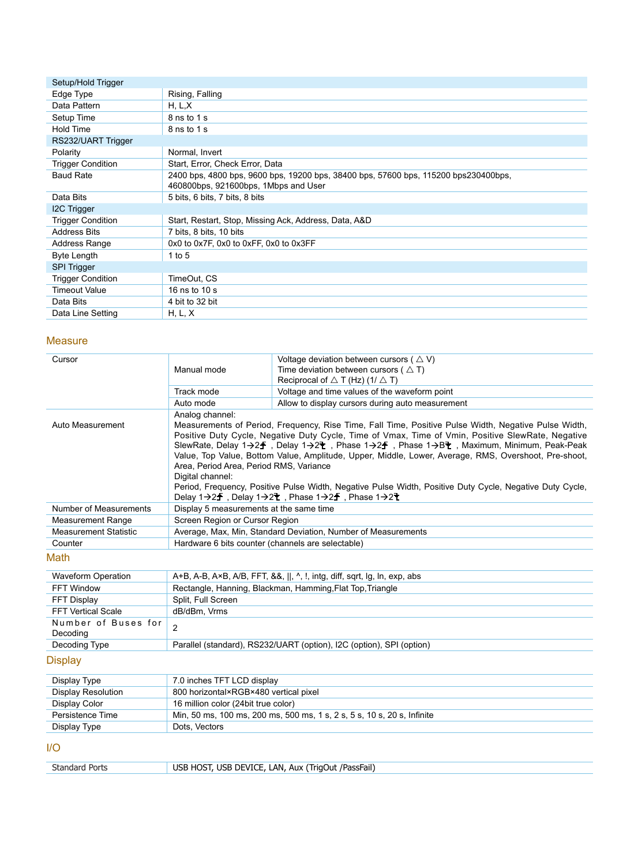| Setup/Hold Trigger       |                                                                                                                             |
|--------------------------|-----------------------------------------------------------------------------------------------------------------------------|
| Edge Type                | Rising, Falling                                                                                                             |
| Data Pattern             | H, L, X                                                                                                                     |
| Setup Time               | 8 ns to 1 s                                                                                                                 |
| Hold Time                | 8 ns to 1 s                                                                                                                 |
| RS232/UART Trigger       |                                                                                                                             |
| Polarity                 | Normal, Invert                                                                                                              |
| <b>Trigger Condition</b> | Start, Error, Check Error, Data                                                                                             |
| <b>Baud Rate</b>         | 2400 bps, 4800 bps, 9600 bps, 19200 bps, 38400 bps, 57600 bps, 115200 bps230400bps,<br>460800bps, 921600bps, 1Mbps and User |
| Data Bits                | 5 bits, 6 bits, 7 bits, 8 bits                                                                                              |
| I2C Trigger              |                                                                                                                             |
| <b>Trigger Condition</b> | Start, Restart, Stop, Missing Ack, Address, Data, A&D                                                                       |
| <b>Address Bits</b>      | 7 bits, 8 bits, 10 bits                                                                                                     |
| Address Range            | 0x0 to 0x7F, 0x0 to 0xFF, 0x0 to 0x3FF                                                                                      |
| <b>Byte Length</b>       | 1 to 5                                                                                                                      |
| <b>SPI Trigger</b>       |                                                                                                                             |
| <b>Trigger Condition</b> | TimeOut, CS                                                                                                                 |
| <b>Timeout Value</b>     | 16 ns to 10 s                                                                                                               |
| Data Bits                | 4 bit to 32 bit                                                                                                             |
| Data Line Setting        | H, L, X                                                                                                                     |

## **Measure**

| Cursor                          |                                                                                | Voltage deviation between cursors ( $\triangle V$ )                                                                                                                                                                                                                                                                                                                                                                                                                                                                                                                      |  |
|---------------------------------|--------------------------------------------------------------------------------|--------------------------------------------------------------------------------------------------------------------------------------------------------------------------------------------------------------------------------------------------------------------------------------------------------------------------------------------------------------------------------------------------------------------------------------------------------------------------------------------------------------------------------------------------------------------------|--|
|                                 | Manual mode                                                                    | Time deviation between cursors ( $\triangle T$ )                                                                                                                                                                                                                                                                                                                                                                                                                                                                                                                         |  |
|                                 |                                                                                | Reciprocal of $\triangle$ T (Hz) (1/ $\triangle$ T)                                                                                                                                                                                                                                                                                                                                                                                                                                                                                                                      |  |
|                                 | Track mode                                                                     | Voltage and time values of the waveform point                                                                                                                                                                                                                                                                                                                                                                                                                                                                                                                            |  |
|                                 | Auto mode                                                                      | Allow to display cursors during auto measurement                                                                                                                                                                                                                                                                                                                                                                                                                                                                                                                         |  |
| Auto Measurement                | Analog channel:<br>Area, Period Area, Period RMS, Variance<br>Digital channel: | Measurements of Period, Frequency, Rise Time, Fall Time, Positive Pulse Width, Negative Pulse Width,<br>Positive Duty Cycle, Negative Duty Cycle, Time of Vmax, Time of Vmin, Positive SlewRate, Negative<br>SlewRate, Delay 1→2于, Delay 1→2〒, Phase 1→2于, Phase 1→B〒, Maximum, Minimum, Peak-Peak<br>Value, Top Value, Bottom Value, Amplitude, Upper, Middle, Lower, Average, RMS, Overshoot, Pre-shoot,<br>Period, Frequency, Positive Pulse Width, Negative Pulse Width, Positive Duty Cycle, Negative Duty Cycle,<br>Delay 1→2子, Delay 1→2₹, Phase 1→2子, Phase 1→2₹ |  |
| Number of Measurements          | Display 5 measurements at the same time                                        |                                                                                                                                                                                                                                                                                                                                                                                                                                                                                                                                                                          |  |
| <b>Measurement Range</b>        | Screen Region or Cursor Region                                                 |                                                                                                                                                                                                                                                                                                                                                                                                                                                                                                                                                                          |  |
| <b>Measurement Statistic</b>    | Average, Max, Min, Standard Deviation, Number of Measurements                  |                                                                                                                                                                                                                                                                                                                                                                                                                                                                                                                                                                          |  |
| Counter                         | Hardware 6 bits counter (channels are selectable)                              |                                                                                                                                                                                                                                                                                                                                                                                                                                                                                                                                                                          |  |
| Math                            |                                                                                |                                                                                                                                                                                                                                                                                                                                                                                                                                                                                                                                                                          |  |
| <b>Waveform Operation</b>       |                                                                                | A+B, A-B, A×B, A/B, FFT, &&,   , ^, !, intg, diff, sqrt, lg, ln, exp, abs                                                                                                                                                                                                                                                                                                                                                                                                                                                                                                |  |
| FFT Window                      |                                                                                | Rectangle, Hanning, Blackman, Hamming, Flat Top, Triangle                                                                                                                                                                                                                                                                                                                                                                                                                                                                                                                |  |
| <b>FFT Display</b>              | Split, Full Screen                                                             |                                                                                                                                                                                                                                                                                                                                                                                                                                                                                                                                                                          |  |
| <b>FFT Vertical Scale</b>       | dB/dBm, Vrms                                                                   |                                                                                                                                                                                                                                                                                                                                                                                                                                                                                                                                                                          |  |
| Number of Buses for<br>Decoding | $\overline{2}$                                                                 |                                                                                                                                                                                                                                                                                                                                                                                                                                                                                                                                                                          |  |
| Decoding Type                   |                                                                                | Parallel (standard), RS232/UART (option), I2C (option), SPI (option)                                                                                                                                                                                                                                                                                                                                                                                                                                                                                                     |  |
| <b>Display</b>                  |                                                                                |                                                                                                                                                                                                                                                                                                                                                                                                                                                                                                                                                                          |  |
| Display Type                    | 7.0 inches TFT LCD display                                                     |                                                                                                                                                                                                                                                                                                                                                                                                                                                                                                                                                                          |  |
| <b>Display Resolution</b>       | 800 horizontal×RGB×480 vertical pixel                                          |                                                                                                                                                                                                                                                                                                                                                                                                                                                                                                                                                                          |  |
| Display Color                   | 16 million color (24bit true color)                                            |                                                                                                                                                                                                                                                                                                                                                                                                                                                                                                                                                                          |  |
| Persistence Time                |                                                                                | Min, 50 ms, 100 ms, 200 ms, 500 ms, 1 s, 2 s, 5 s, 10 s, 20 s, Infinite                                                                                                                                                                                                                                                                                                                                                                                                                                                                                                  |  |
| Display Type                    | Dots, Vectors                                                                  |                                                                                                                                                                                                                                                                                                                                                                                                                                                                                                                                                                          |  |
| 1/O                             |                                                                                |                                                                                                                                                                                                                                                                                                                                                                                                                                                                                                                                                                          |  |
| <b>Standard Ports</b>           |                                                                                | USB HOST, USB DEVICE, LAN, Aux (TrigOut /PassFail)                                                                                                                                                                                                                                                                                                                                                                                                                                                                                                                       |  |
|                                 |                                                                                |                                                                                                                                                                                                                                                                                                                                                                                                                                                                                                                                                                          |  |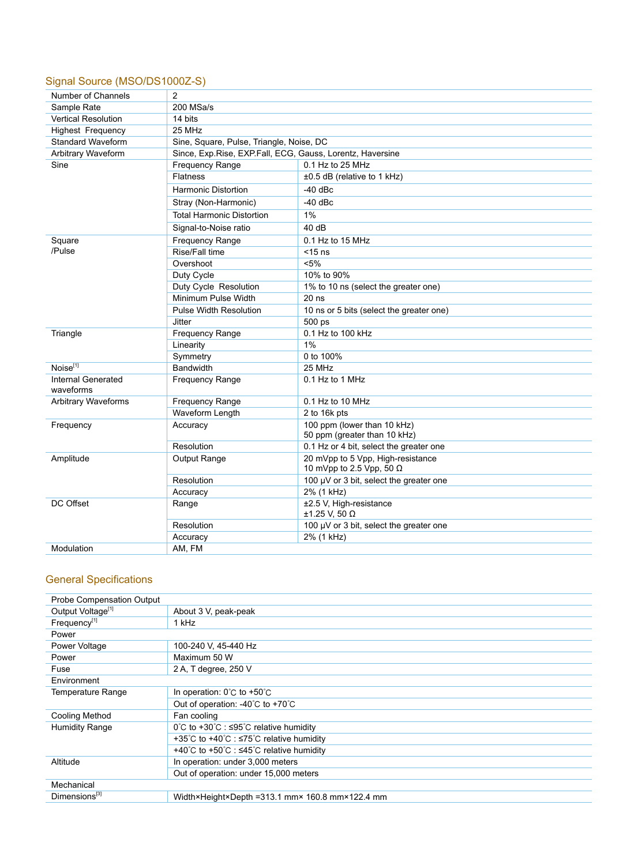# Signal Source (MSO/DS1000Z-S)

| Number of Channels              | 2                                                           |                                                                      |  |  |
|---------------------------------|-------------------------------------------------------------|----------------------------------------------------------------------|--|--|
| Sample Rate                     | 200 MSa/s                                                   |                                                                      |  |  |
| <b>Vertical Resolution</b>      | 14 bits                                                     |                                                                      |  |  |
| <b>Highest Frequency</b>        | 25 MHz                                                      |                                                                      |  |  |
| Standard Waveform               | Sine, Square, Pulse, Triangle, Noise, DC                    |                                                                      |  |  |
| Arbitrary Waveform              | Since, Exp. Rise, EXP. Fall, ECG, Gauss, Lorentz, Haversine |                                                                      |  |  |
| Sine                            | Frequency Range                                             | 0.1 Hz to 25 MHz                                                     |  |  |
|                                 | <b>Flatness</b>                                             | ±0.5 dB (relative to 1 kHz)                                          |  |  |
|                                 | <b>Harmonic Distortion</b>                                  | $-40$ dBc                                                            |  |  |
|                                 | Stray (Non-Harmonic)                                        | $-40$ dBc                                                            |  |  |
|                                 | <b>Total Harmonic Distortion</b>                            | 1%                                                                   |  |  |
|                                 | Signal-to-Noise ratio                                       | 40dB                                                                 |  |  |
| Square                          | <b>Frequency Range</b>                                      | $0.1$ Hz to 15 MHz                                                   |  |  |
| /Pulse                          | Rise/Fall time                                              | $<$ 15 ns                                                            |  |  |
|                                 | Overshoot                                                   | $< 5\%$                                                              |  |  |
|                                 | Duty Cycle                                                  | 10% to 90%                                                           |  |  |
|                                 | Duty Cycle Resolution                                       | 1% to 10 ns (select the greater one)                                 |  |  |
|                                 | Minimum Pulse Width                                         | $20$ ns                                                              |  |  |
|                                 | <b>Pulse Width Resolution</b>                               | 10 ns or 5 bits (select the greater one)                             |  |  |
|                                 | Jitter                                                      | 500 ps                                                               |  |  |
| Triangle                        | Frequency Range                                             | 0.1 Hz to 100 kHz                                                    |  |  |
|                                 | Linearity                                                   | 1%                                                                   |  |  |
|                                 | Symmetry                                                    | 0 to 100%                                                            |  |  |
| Noise <sup>[1]</sup>            | Bandwidth                                                   | 25 MHz                                                               |  |  |
| Internal Generated<br>waveforms | <b>Frequency Range</b>                                      | 0.1 Hz to 1 MHz                                                      |  |  |
| <b>Arbitrary Waveforms</b>      | <b>Frequency Range</b>                                      | 0.1 Hz to 10 MHz                                                     |  |  |
|                                 | Waveform Length                                             | 2 to 16k pts                                                         |  |  |
| Frequency                       | Accuracy                                                    | 100 ppm (lower than 10 kHz)                                          |  |  |
|                                 |                                                             | 50 ppm (greater than 10 kHz)                                         |  |  |
|                                 | Resolution                                                  | 0.1 Hz or 4 bit, select the greater one                              |  |  |
| Amplitude                       | Output Range                                                | 20 mVpp to 5 Vpp, High-resistance<br>10 mVpp to 2.5 Vpp, 50 $\Omega$ |  |  |
|                                 | Resolution                                                  | 100 $\mu$ V or 3 bit, select the greater one                         |  |  |
|                                 | Accuracy                                                    | 2% (1 kHz)                                                           |  |  |
| DC Offset                       | Range                                                       | ±2.5 V, High-resistance<br>±1.25 V, 50 Ω                             |  |  |
|                                 | Resolution                                                  | 100 $\mu$ V or 3 bit, select the greater one                         |  |  |
|                                 | Accuracy                                                    | 2% (1 kHz)                                                           |  |  |
| Modulation                      | AM, FM                                                      |                                                                      |  |  |

# General Specifications

| Probe Compensation Output     |                                                                              |  |
|-------------------------------|------------------------------------------------------------------------------|--|
| Output Voltage <sup>[1]</sup> | About 3 V, peak-peak                                                         |  |
| Frequency <sup>[1]</sup>      | 1 kHz                                                                        |  |
| Power                         |                                                                              |  |
| Power Voltage                 | 100-240 V, 45-440 Hz                                                         |  |
| Power                         | Maximum 50 W                                                                 |  |
| Fuse                          | 2 A, T degree, 250 V                                                         |  |
| Environment                   |                                                                              |  |
| <b>Temperature Range</b>      | In operation: $0^{\circ}$ C to +50 $^{\circ}$ C                              |  |
|                               | Out of operation: -40 $^{\circ}$ C to +70 $^{\circ}$ C                       |  |
| Cooling Method                | Fan cooling                                                                  |  |
| <b>Humidity Range</b>         | $0^{\circ}$ C to +30 $^{\circ}$ C : $\leq$ 95 $^{\circ}$ C relative humidity |  |
|                               | +35℃ to +40℃ : ≤75℃ relative humidity                                        |  |
|                               | +40°C to +50°C : ≤45°C relative humidity                                     |  |
| Altitude                      | In operation: under 3,000 meters                                             |  |
|                               | Out of operation: under 15,000 meters                                        |  |
| Mechanical                    |                                                                              |  |
| Dimensions <sup>[3]</sup>     | Width×Height×Depth =313.1 mm× 160.8 mm×122.4 mm                              |  |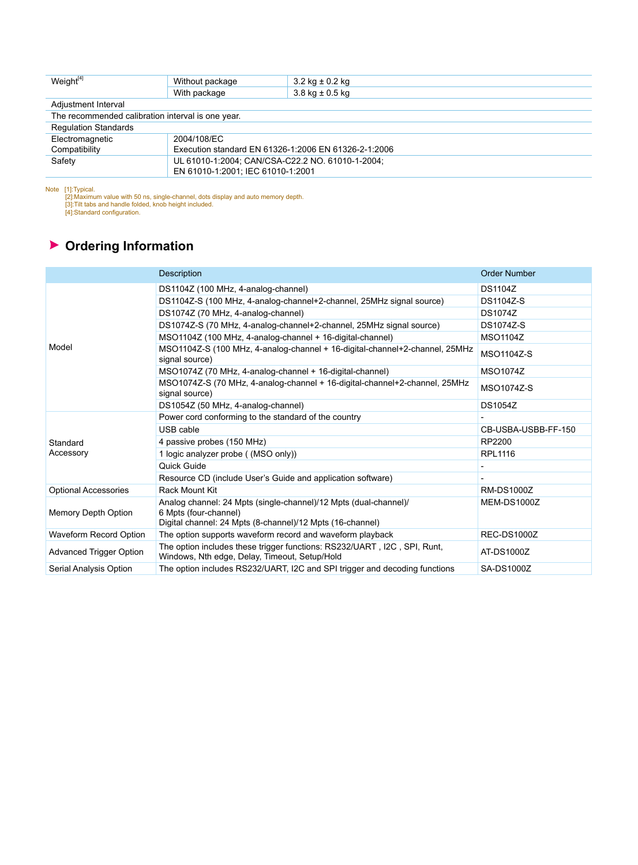| Weight $[4]$                                      | Without package                                      | $3.2$ kg $\pm$ 0.2 kg |
|---------------------------------------------------|------------------------------------------------------|-----------------------|
|                                                   | With package                                         | $3.8$ kg $\pm 0.5$ kg |
| Adjustment Interval                               |                                                      |                       |
| The recommended calibration interval is one year. |                                                      |                       |
| <b>Regulation Standards</b>                       |                                                      |                       |
| Electromagnetic                                   | 2004/108/EC                                          |                       |
| Compatibility                                     | Execution standard EN 61326-1:2006 EN 61326-2-1:2006 |                       |
| Safety                                            | UL 61010-1:2004; CAN/CSA-C22.2 NO. 61010-1-2004;     |                       |
|                                                   | EN 61010-1:2001; IEC 61010-1:2001                    |                       |

Note [1]:Typical.<br>
[2]:Maximum value with 50 ns, single-channel, dots display and auto memory depth.<br>
[3]:Tilt tabs and handle folded, knob height included.<br>
[4]:Standard configuration.

# **Ordering Information**

|                                | Description                                                                                                                                            | <b>Order Number</b> |
|--------------------------------|--------------------------------------------------------------------------------------------------------------------------------------------------------|---------------------|
|                                | DS1104Z (100 MHz, 4-analog-channel)                                                                                                                    | <b>DS1104Z</b>      |
|                                | DS1104Z-S (100 MHz, 4-analog-channel+2-channel, 25MHz signal source)                                                                                   | <b>DS1104Z-S</b>    |
|                                | DS1074Z (70 MHz, 4-analog-channel)                                                                                                                     | <b>DS1074Z</b>      |
|                                | DS1074Z-S (70 MHz, 4-analog-channel+2-channel, 25MHz signal source)                                                                                    | <b>DS1074Z-S</b>    |
|                                | MSO1104Z (100 MHz, 4-analog-channel + 16-digital-channel)                                                                                              | <b>MSO1104Z</b>     |
| Model                          | MSO1104Z-S (100 MHz, 4-analog-channel + 16-digital-channel+2-channel, 25MHz<br>signal source)                                                          | <b>MSO1104Z-S</b>   |
|                                | MSO1074Z (70 MHz, 4-analog-channel + 16-digital-channel)                                                                                               | <b>MSO1074Z</b>     |
|                                | MSO1074Z-S (70 MHz, 4-analog-channel + 16-digital-channel+2-channel, 25MHz<br>signal source)                                                           | <b>MSO1074Z-S</b>   |
|                                | DS1054Z (50 MHz, 4-analog-channel)                                                                                                                     | <b>DS1054Z</b>      |
|                                | Power cord conforming to the standard of the country                                                                                                   |                     |
|                                | USB cable                                                                                                                                              | CB-USBA-USBB-FF-150 |
| Standard                       | 4 passive probes (150 MHz)                                                                                                                             | RP2200              |
| Accessory                      | 1 logic analyzer probe ((MSO only))                                                                                                                    | <b>RPL1116</b>      |
|                                | Quick Guide                                                                                                                                            |                     |
|                                | Resource CD (include User's Guide and application software)                                                                                            |                     |
| <b>Optional Accessories</b>    | Rack Mount Kit                                                                                                                                         | <b>RM-DS1000Z</b>   |
| Memory Depth Option            | Analog channel: 24 Mpts (single-channel)/12 Mpts (dual-channel)/<br>6 Mpts (four-channel)<br>Digital channel: 24 Mpts (8-channel)/12 Mpts (16-channel) | MEM-DS1000Z         |
| Waveform Record Option         | The option supports waveform record and waveform playback                                                                                              | <b>REC-DS1000Z</b>  |
| <b>Advanced Trigger Option</b> | The option includes these trigger functions: RS232/UART, I2C, SPI, Runt,<br>Windows, Nth edge, Delay, Timeout, Setup/Hold                              | AT-DS1000Z          |
| Serial Analysis Option         | The option includes RS232/UART, I2C and SPI trigger and decoding functions                                                                             | <b>SA-DS1000Z</b>   |